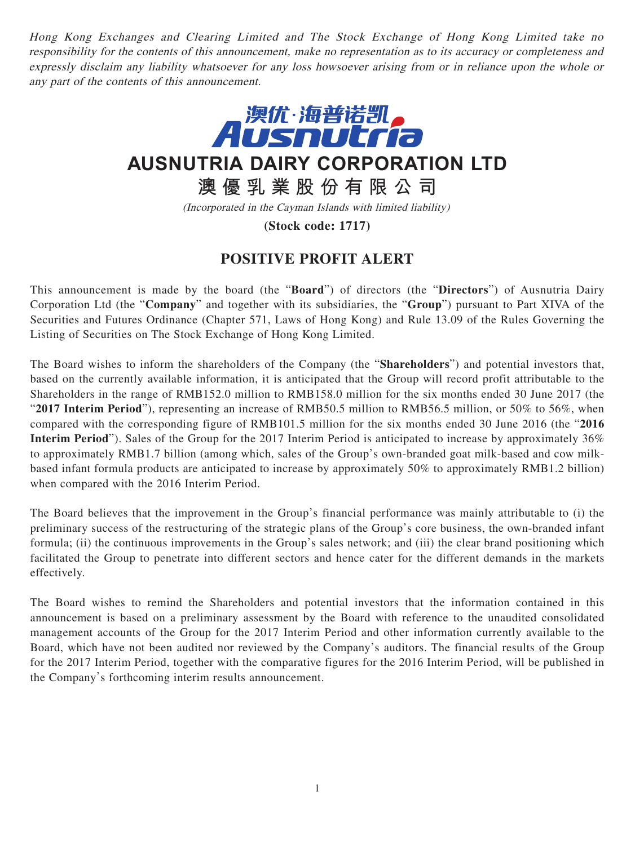Hong Kong Exchanges and Clearing Limited and The Stock Exchange of Hong Kong Limited take no responsibility for the contents of this announcement, make no representation as to its accuracy or completeness and expressly disclaim any liability whatsoever for any loss howsoever arising from or in reliance upon the whole or any part of the contents of this announcement.



**AUSNUTRIA DAIRY CORPORATION LTD**

**澳優乳業股份有限公司**

(Incorporated in the Cayman Islands with limited liability)

**(Stock code: 1717)**

## **POSITIVE PROFIT ALERT**

This announcement is made by the board (the "**Board**") of directors (the "**Directors**") of Ausnutria Dairy Corporation Ltd (the "**Company**" and together with its subsidiaries, the "**Group**") pursuant to Part XIVA of the Securities and Futures Ordinance (Chapter 571, Laws of Hong Kong) and Rule 13.09 of the Rules Governing the Listing of Securities on The Stock Exchange of Hong Kong Limited.

The Board wishes to inform the shareholders of the Company (the "**Shareholders**") and potential investors that, based on the currently available information, it is anticipated that the Group will record profit attributable to the Shareholders in the range of RMB152.0 million to RMB158.0 million for the six months ended 30 June 2017 (the "**2017 Interim Period**"), representing an increase of RMB50.5 million to RMB56.5 million, or 50% to 56%, when compared with the corresponding figure of RMB101.5 million for the six months ended 30 June 2016 (the "**2016 Interim Period**"). Sales of the Group for the 2017 Interim Period is anticipated to increase by approximately 36% to approximately RMB1.7 billion (among which, sales of the Group's own-branded goat milk-based and cow milkbased infant formula products are anticipated to increase by approximately 50% to approximately RMB1.2 billion) when compared with the 2016 Interim Period.

The Board believes that the improvement in the Group's financial performance was mainly attributable to (i) the preliminary success of the restructuring of the strategic plans of the Group's core business, the own-branded infant formula; (ii) the continuous improvements in the Group's sales network; and (iii) the clear brand positioning which facilitated the Group to penetrate into different sectors and hence cater for the different demands in the markets effectively.

The Board wishes to remind the Shareholders and potential investors that the information contained in this announcement is based on a preliminary assessment by the Board with reference to the unaudited consolidated management accounts of the Group for the 2017 Interim Period and other information currently available to the Board, which have not been audited nor reviewed by the Company's auditors. The financial results of the Group for the 2017 Interim Period, together with the comparative figures for the 2016 Interim Period, will be published in the Company's forthcoming interim results announcement.